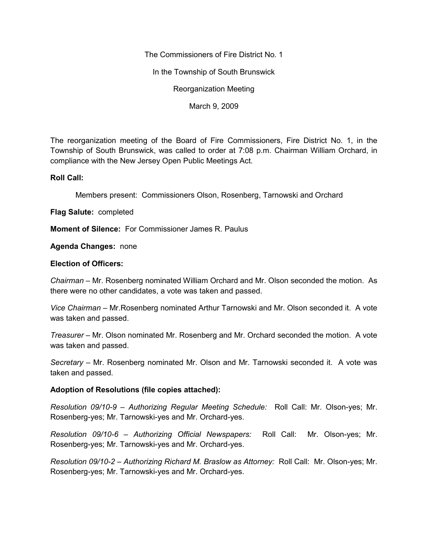The Commissioners of Fire District No. 1

In the Township of South Brunswick

Reorganization Meeting

March 9, 2009

The reorganization meeting of the Board of Fire Commissioners, Fire District No. 1, in the Township of South Brunswick, was called to order at 7:08 p.m. Chairman William Orchard, in compliance with the New Jersey Open Public Meetings Act.

## **Roll Call:**

Members present: Commissioners Olson, Rosenberg, Tarnowski and Orchard

**Flag Salute:** completed

**Moment of Silence:** For Commissioner James R. Paulus

**Agenda Changes:** none

## **Election of Officers:**

*Chairman –* Mr. Rosenberg nominated William Orchard and Mr. Olson seconded the motion. As there were no other candidates, a vote was taken and passed.

*Vice Chairman –* Mr.Rosenberg nominated Arthur Tarnowski and Mr. Olson seconded it. A vote was taken and passed.

*Treasurer –* Mr. Olson nominated Mr. Rosenberg and Mr. Orchard seconded the motion. A vote was taken and passed.

*Secretary –* Mr. Rosenberg nominated Mr. Olson and Mr. Tarnowski seconded it. A vote was taken and passed.

## **Adoption of Resolutions (file copies attached):**

*Resolution 09/10-9 – Authorizing Regular Meeting Schedule:* Roll Call: Mr. Olson-yes; Mr. Rosenberg-yes; Mr. Tarnowski-yes and Mr. Orchard-yes.

*Resolution 09/10-6 – Authorizing Official Newspapers:* Roll Call: Mr. Olson-yes; Mr. Rosenberg-yes; Mr. Tarnowski-yes and Mr. Orchard-yes.

*Resolution 09/10-2 – Authorizing Richard M. Braslow as Attorney:* Roll Call: Mr. Olson-yes; Mr. Rosenberg-yes; Mr. Tarnowski-yes and Mr. Orchard-yes.